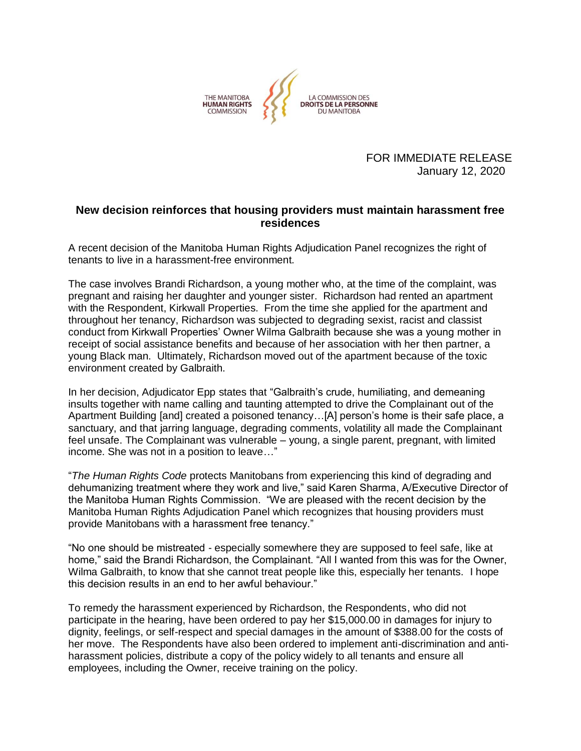

FOR IMMEDIATE RELEASE January 12, 2020

## **New decision reinforces that housing providers must maintain harassment free residences**

A recent decision of the Manitoba Human Rights Adjudication Panel recognizes the right of tenants to live in a harassment-free environment.

The case involves Brandi Richardson, a young mother who, at the time of the complaint, was pregnant and raising her daughter and younger sister. Richardson had rented an apartment with the Respondent, Kirkwall Properties. From the time she applied for the apartment and throughout her tenancy, Richardson was subjected to degrading sexist, racist and classist conduct from Kirkwall Properties' Owner Wilma Galbraith because she was a young mother in receipt of social assistance benefits and because of her association with her then partner, a young Black man. Ultimately, Richardson moved out of the apartment because of the toxic environment created by Galbraith.

In her decision, Adjudicator Epp states that "Galbraith's crude, humiliating, and demeaning insults together with name calling and taunting attempted to drive the Complainant out of the Apartment Building [and] created a poisoned tenancy…[A] person's home is their safe place, a sanctuary, and that jarring language, degrading comments, volatility all made the Complainant feel unsafe. The Complainant was vulnerable – young, a single parent, pregnant, with limited income. She was not in a position to leave…"

"*The Human Rights Code* protects Manitobans from experiencing this kind of degrading and dehumanizing treatment where they work and live," said Karen Sharma, A/Executive Director of the Manitoba Human Rights Commission. "We are pleased with the recent decision by the Manitoba Human Rights Adjudication Panel which recognizes that housing providers must provide Manitobans with a harassment free tenancy."

"No one should be mistreated - especially somewhere they are supposed to feel safe, like at home," said the Brandi Richardson, the Complainant. "All I wanted from this was for the Owner, Wilma Galbraith, to know that she cannot treat people like this, especially her tenants. I hope this decision results in an end to her awful behaviour."

To remedy the harassment experienced by Richardson, the Respondents, who did not participate in the hearing, have been ordered to pay her \$15,000.00 in damages for injury to dignity, feelings, or self-respect and special damages in the amount of \$388.00 for the costs of her move. The Respondents have also been ordered to implement anti-discrimination and antiharassment policies, distribute a copy of the policy widely to all tenants and ensure all employees, including the Owner, receive training on the policy.